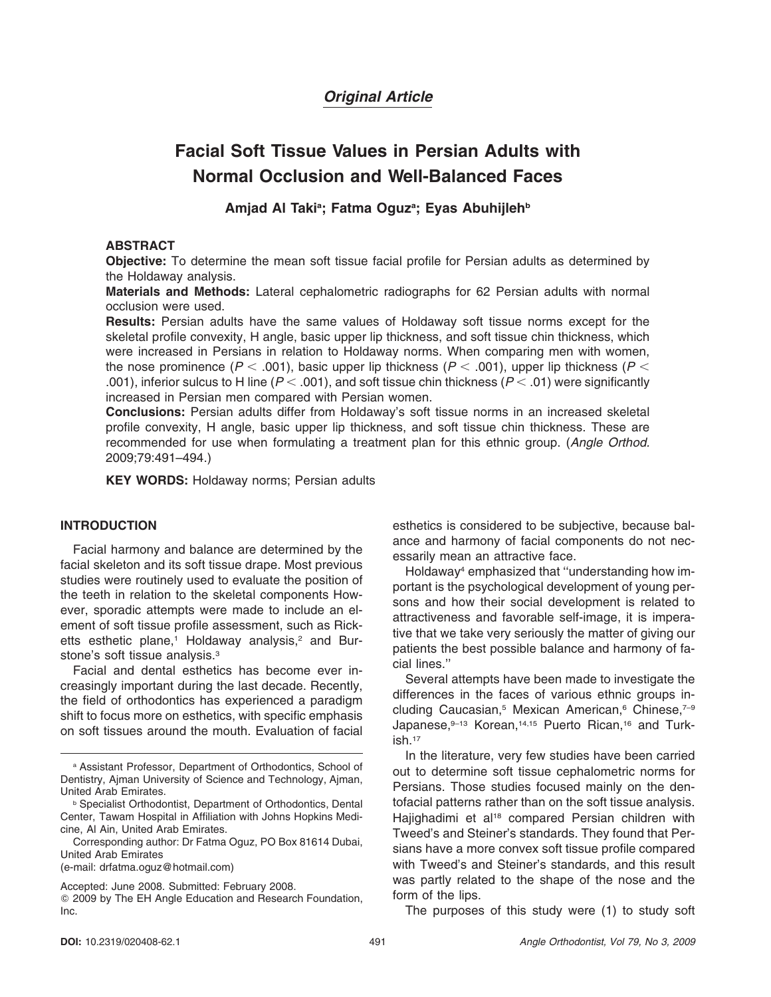# **Original Article**

# **Facial Soft Tissue Values in Persian Adults with Normal Occlusion and Well-Balanced Faces**

**Amjad Al Taki<sup>a</sup> ; Fatma Oguz<sup>a</sup> ; Eyas Abuhijleh<sup>b</sup>**

## **ABSTRACT**

**Objective:** To determine the mean soft tissue facial profile for Persian adults as determined by the Holdaway analysis.

**Materials and Methods:** Lateral cephalometric radiographs for 62 Persian adults with normal occlusion were used.

**Results:** Persian adults have the same values of Holdaway soft tissue norms except for the skeletal profile convexity, H angle, basic upper lip thickness, and soft tissue chin thickness, which were increased in Persians in relation to Holdaway norms. When comparing men with women, the nose prominence ( $P < .001$ ), basic upper lip thickness ( $P < .001$ ), upper lip thickness ( $P <$ .001), inferior sulcus to H line ( $P < .001$ ), and soft tissue chin thickness ( $P < .01$ ) were significantly increased in Persian men compared with Persian women.

**Conclusions:** Persian adults differ from Holdaway's soft tissue norms in an increased skeletal profile convexity, H angle, basic upper lip thickness, and soft tissue chin thickness. These are recommended for use when formulating a treatment plan for this ethnic group. (Angle Orthod. 2009;79:491–494.)

**KEY WORDS:** Holdaway norms; Persian adults

## **INTRODUCTION**

Facial harmony and balance are determined by the facial skeleton and its soft tissue drape. Most previous studies were routinely used to evaluate the position of the teeth in relation to the skeletal components However, sporadic attempts were made to include an element of soft tissue profile assessment, such as Ricketts esthetic plane,<sup>1</sup> Holdaway analysis,<sup>2</sup> and Burstone's soft tissue analysis.<sup>3</sup>

Facial and dental esthetics has become ever increasingly important during the last decade. Recently, the field of orthodontics has experienced a paradigm shift to focus more on esthetics, with specific emphasis on soft tissues around the mouth. Evaluation of facial

(e-mail: drfatma.oguz@hotmail.com)

esthetics is considered to be subjective, because balance and harmony of facial components do not necessarily mean an attractive face.

Holdaway<sup>4</sup> emphasized that "understanding how important is the psychological development of young persons and how their social development is related to attractiveness and favorable self-image, it is imperative that we take very seriously the matter of giving our patients the best possible balance and harmony of facial lines.''

Several attempts have been made to investigate the differences in the faces of various ethnic groups including Caucasian,<sup>5</sup> Mexican American,<sup>6</sup> Chinese,<sup>7-9</sup> Japanese, 9-13 Korean, 14, 15 Puerto Rican, 16 and Turkish.<sup>17</sup>

In the literature, very few studies have been carried out to determine soft tissue cephalometric norms for Persians. Those studies focused mainly on the dentofacial patterns rather than on the soft tissue analysis. Hajighadimi et al<sup>18</sup> compared Persian children with Tweed's and Steiner's standards. They found that Persians have a more convex soft tissue profile compared with Tweed's and Steiner's standards, and this result was partly related to the shape of the nose and the form of the lips.

The purposes of this study were (1) to study soft

<sup>a</sup> Assistant Professor, Department of Orthodontics, School of Dentistry, Ajman University of Science and Technology, Ajman, United Arab Emirates.

**b Specialist Orthodontist, Department of Orthodontics, Dental** Center, Tawam Hospital in Affiliation with Johns Hopkins Medicine, Al Ain, United Arab Emirates.

Corresponding author: Dr Fatma Oguz, PO Box 81614 Dubai, United Arab Emirates

Accepted: June 2008. Submitted: February 2008.

 $@$  2009 by The EH Angle Education and Research Foundation, Inc.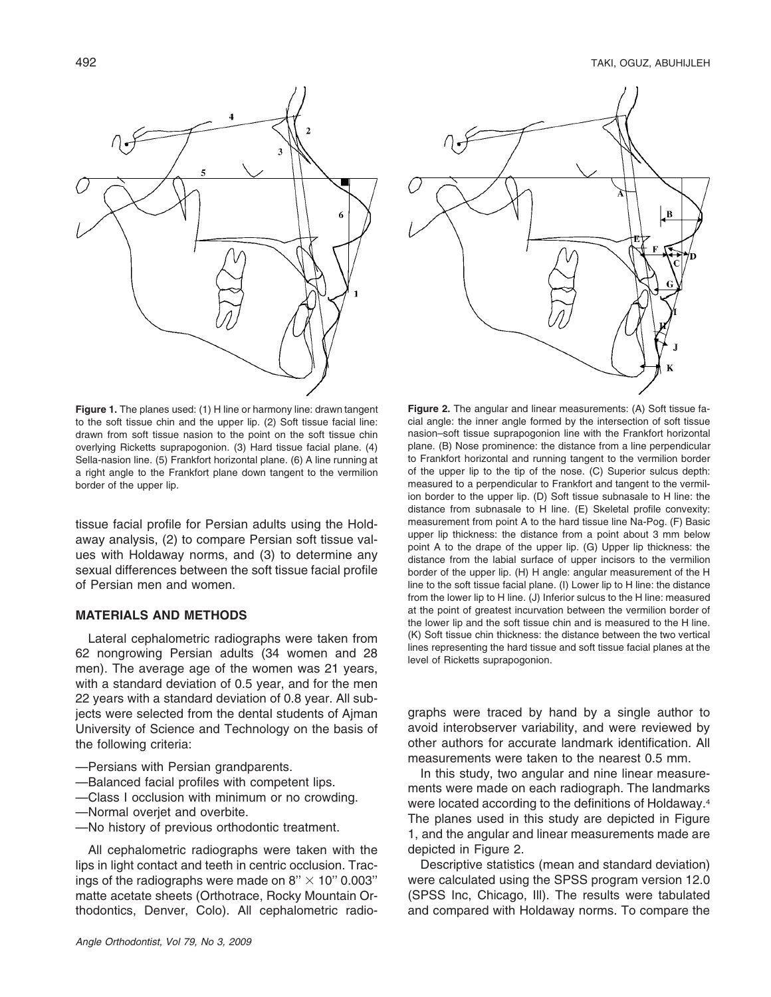

**Figure 1.** The planes used: (1) H line or harmony line: drawn tangent to the soft tissue chin and the upper lip. (2) Soft tissue facial line: drawn from soft tissue nasion to the point on the soft tissue chin overlying Ricketts suprapogonion. (3) Hard tissue facial plane. (4) Sella-nasion line. (5) Frankfort horizontal plane. (6) A line running at a right angle to the Frankfort plane down tangent to the vermilion border of the upper lip.

tissue facial profile for Persian adults using the Holdaway analysis, (2) to compare Persian soft tissue values with Holdaway norms, and (3) to determine any sexual differences between the soft tissue facial profile of Persian men and women.

#### **MATERIALS AND METHODS**

Lateral cephalometric radiographs were taken from 62 nongrowing Persian adults (34 women and 28 men). The average age of the women was 21 years, with a standard deviation of 0.5 year, and for the men 22 years with a standard deviation of 0.8 year. All subjects were selected from the dental students of Ajman University of Science and Technology on the basis of the following criteria:

- —Persians with Persian grandparents.
- —Balanced facial profiles with competent lips.
- —Class I occlusion with minimum or no crowding.
- —Normal overjet and overbite.
- —No history of previous orthodontic treatment.

All cephalometric radiographs were taken with the lips in light contact and teeth in centric occlusion. Tracings of the radiographs were made on  $8'' \times 10''$  0.003" matte acetate sheets (Orthotrace, Rocky Mountain Orthodontics, Denver, Colo). All cephalometric radio-



**Figure 2.** The angular and linear measurements: (A) Soft tissue facial angle: the inner angle formed by the intersection of soft tissue nasion–soft tissue suprapogonion line with the Frankfort horizontal plane. (B) Nose prominence: the distance from a line perpendicular to Frankfort horizontal and running tangent to the vermilion border of the upper lip to the tip of the nose. (C) Superior sulcus depth: measured to a perpendicular to Frankfort and tangent to the vermilion border to the upper lip. (D) Soft tissue subnasale to H line: the distance from subnasale to H line. (E) Skeletal profile convexity: measurement from point A to the hard tissue line Na-Pog. (F) Basic upper lip thickness: the distance from a point about 3 mm below point A to the drape of the upper lip. (G) Upper lip thickness: the distance from the labial surface of upper incisors to the vermilion border of the upper lip. (H) H angle: angular measurement of the H line to the soft tissue facial plane. (I) Lower lip to H line: the distance from the lower lip to H line. (J) Inferior sulcus to the H line: measured at the point of greatest incurvation between the vermilion border of the lower lip and the soft tissue chin and is measured to the H line. (K) Soft tissue chin thickness: the distance between the two vertical lines representing the hard tissue and soft tissue facial planes at the level of Ricketts suprapogonion.

graphs were traced by hand by a single author to avoid interobserver variability, and were reviewed by other authors for accurate landmark identification. All measurements were taken to the nearest 0.5 mm.

In this study, two angular and nine linear measurements were made on each radiograph. The landmarks were located according to the definitions of Holdaway.<sup>4</sup> The planes used in this study are depicted in Figure 1, and the angular and linear measurements made are depicted in Figure 2.

Descriptive statistics (mean and standard deviation) were calculated using the SPSS program version 12.0 (SPSS Inc, Chicago, Ill). The results were tabulated and compared with Holdaway norms. To compare the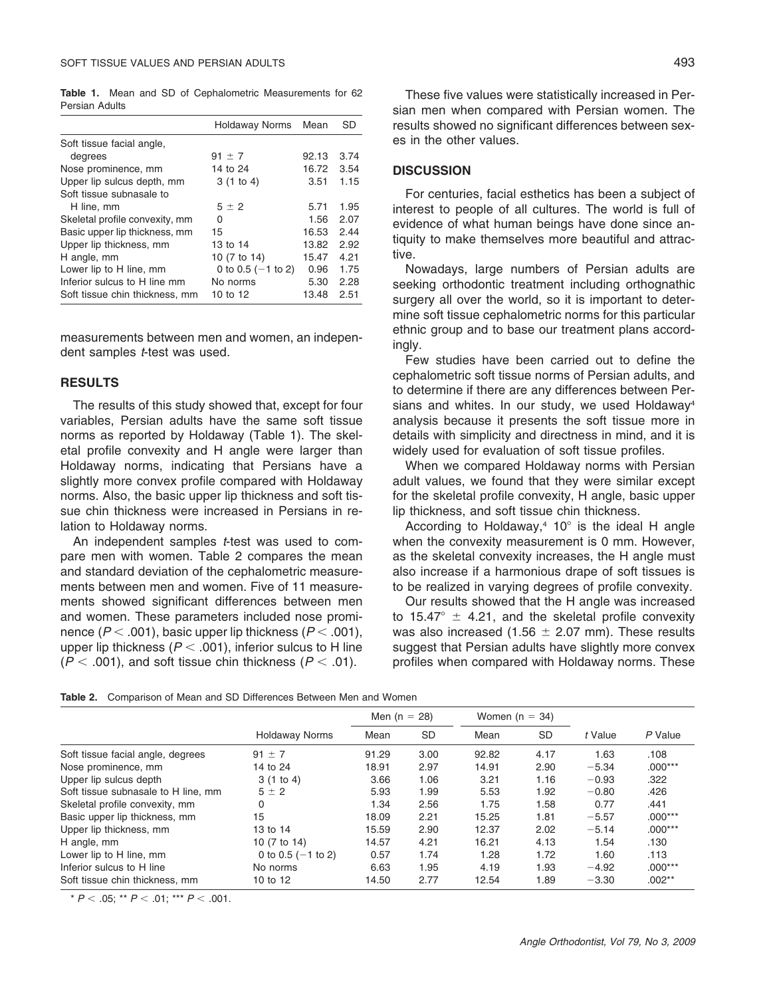**Table 1.** Mean and SD of Cephalometric Measurements for 62 Persian Adults

|                                | Holdaway Norms        | Mean  | <b>SD</b> |
|--------------------------------|-----------------------|-------|-----------|
| Soft tissue facial angle,      |                       |       |           |
| degrees                        | $91 \pm 7$            | 92.13 | 3.74      |
| Nose prominence, mm            | 14 to 24              | 16.72 | 3.54      |
| Upper lip sulcus depth, mm     | 3(1 to 4)             | 3.51  | 1.15      |
| Soft tissue subnasale to       |                       |       |           |
| H line, mm                     | $5 \pm 2$             | 5.71  | 1.95      |
| Skeletal profile convexity, mm | 0                     | 1.56  | 2.07      |
| Basic upper lip thickness, mm  | 15                    | 16.53 | 2.44      |
| Upper lip thickness, mm        | 13 to 14              | 13.82 | 2.92      |
| H angle, mm                    | 10 (7 to 14)          | 15.47 | 4.21      |
| Lower lip to H line, mm        | 0 to 0.5 $(-1)$ to 2) | 0.96  | 1.75      |
| Inferior sulcus to H line mm   | No norms              | 5.30  | 2.28      |
| Soft tissue chin thickness, mm | 10 to 12              | 13.48 | 2.51      |

measurements between men and women, an independent samples *t*-test was used.

#### **RESULTS**

The results of this study showed that, except for four variables, Persian adults have the same soft tissue norms as reported by Holdaway (Table 1). The skeletal profile convexity and H angle were larger than Holdaway norms, indicating that Persians have a slightly more convex profile compared with Holdaway norms. Also, the basic upper lip thickness and soft tissue chin thickness were increased in Persians in relation to Holdaway norms.

An independent samples <sup>t</sup>-test was used to compare men with women. Table 2 compares the mean and standard deviation of the cephalometric measurements between men and women. Five of 11 measurements showed significant differences between men and women. These parameters included nose prominence ( $P < .001$ ), basic upper lip thickness ( $P < .001$ ), upper lip thickness ( $P < .001$ ), inferior sulcus to H line  $(P < .001)$ , and soft tissue chin thickness  $(P < .01)$ .

These five values were statistically increased in Persian men when compared with Persian women. The results showed no significant differences between sexes in the other values.

#### **DISCUSSION**

For centuries, facial esthetics has been a subject of interest to people of all cultures. The world is full of evidence of what human beings have done since antiquity to make themselves more beautiful and attractive.

Nowadays, large numbers of Persian adults are seeking orthodontic treatment including orthognathic surgery all over the world, so it is important to determine soft tissue cephalometric norms for this particular ethnic group and to base our treatment plans accordingly.

Few studies have been carried out to define the cephalometric soft tissue norms of Persian adults, and to determine if there are any differences between Persians and whites. In our study, we used Holdaway<sup>4</sup> analysis because it presents the soft tissue more in details with simplicity and directness in mind, and it is widely used for evaluation of soft tissue profiles.

When we compared Holdaway norms with Persian adult values, we found that they were similar except for the skeletal profile convexity, H angle, basic upper lip thickness, and soft tissue chin thickness.

According to Holdaway, $4$  10 $^{\circ}$  is the ideal H angle when the convexity measurement is 0 mm. However, as the skeletal convexity increases, the H angle must also increase if a harmonious drape of soft tissues is to be realized in varying degrees of profile convexity.

Our results showed that the H angle was increased to 15.47 $\degree$  ± 4.21, and the skeletal profile convexity was also increased (1.56  $\pm$  2.07 mm). These results suggest that Persian adults have slightly more convex profiles when compared with Holdaway norms. These

|  |  |  |  |  | <b>Table 2.</b> Comparison of Mean and SD Differences Between Men and Women |
|--|--|--|--|--|-----------------------------------------------------------------------------|
|--|--|--|--|--|-----------------------------------------------------------------------------|

|                                     |                       | Men $(n = 28)$ |           | Women $(n = 34)$ |           |         |           |
|-------------------------------------|-----------------------|----------------|-----------|------------------|-----------|---------|-----------|
|                                     | <b>Holdaway Norms</b> | Mean           | <b>SD</b> | Mean             | <b>SD</b> | t Value | P Value   |
| Soft tissue facial angle, degrees   | $91 \pm 7$            | 91.29          | 3.00      | 92.82            | 4.17      | 1.63    | .108      |
| Nose prominence, mm                 | 14 to 24              | 18.91          | 2.97      | 14.91            | 2.90      | $-5.34$ | $.000***$ |
| Upper lip sulcus depth              | 3(1 to 4)             | 3.66           | 1.06      | 3.21             | 1.16      | $-0.93$ | .322      |
| Soft tissue subnasale to H line, mm | $5 \pm 2$             | 5.93           | 1.99      | 5.53             | 1.92      | $-0.80$ | .426      |
| Skeletal profile convexity, mm      | 0                     | 1.34           | 2.56      | 1.75             | 1.58      | 0.77    | .441      |
| Basic upper lip thickness, mm       | 15                    | 18.09          | 2.21      | 15.25            | 1.81      | $-5.57$ | $.000***$ |
| Upper lip thickness, mm             | 13 to 14              | 15.59          | 2.90      | 12.37            | 2.02      | $-5.14$ | $.000***$ |
| H angle, mm                         | 10 (7 to 14)          | 14.57          | 4.21      | 16.21            | 4.13      | 1.54    | .130      |
| Lower lip to H line, mm             | 0 to 0.5 $(-1)$ to 2) | 0.57           | 1.74      | 1.28             | 1.72      | 1.60    | .113      |
| Inferior sulcus to H line           | No norms              | 6.63           | 1.95      | 4.19             | 1.93      | $-4.92$ | $.000***$ |
| Soft tissue chin thickness, mm      | 10 to 12              | 14.50          | 2.77      | 12.54            | 1.89      | $-3.30$ | $.002**$  |

\*  $P < .05$ ; \*\*  $P < .01$ ; \*\*\*  $P < .001$ .